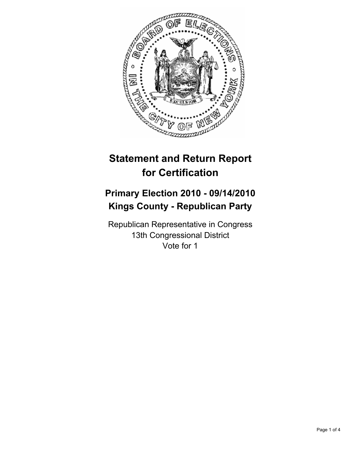

# **Statement and Return Report for Certification**

## **Primary Election 2010 - 09/14/2010 Kings County - Republican Party**

Republican Representative in Congress 13th Congressional District Vote for 1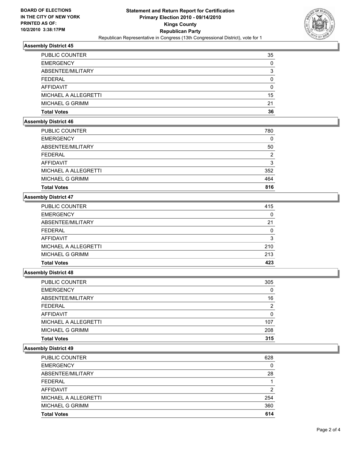

## **Assembly District 45**

| <b>PUBLIC COUNTER</b> | 35       |
|-----------------------|----------|
| <b>EMERGENCY</b>      | 0        |
| ABSENTEE/MILITARY     | 3        |
| <b>FEDERAL</b>        | $\Omega$ |
| AFFIDAVIT             | 0        |
| MICHAEL A ALLEGRETTI  | 15       |
| MICHAEL G GRIMM       | 21       |
| <b>Total Votes</b>    | 36       |

## **Assembly District 46**

| <b>PUBLIC COUNTER</b> | 780           |
|-----------------------|---------------|
| <b>EMERGENCY</b>      | 0             |
| ABSENTEE/MILITARY     | 50            |
| <b>FEDERAL</b>        | $\mathcal{P}$ |
| AFFIDAVIT             | 3             |
| MICHAEL A ALLEGRETTI  | 352           |
| MICHAEL G GRIMM       | 464           |
| <b>Total Votes</b>    | 816           |

#### **Assembly District 47**

| MICHAEL A ALLEGRETTI   | 210 |
|------------------------|-----|
| <b>MICHAEL G GRIMM</b> | 213 |
|                        |     |
| <b>AFFIDAVIT</b>       | 3   |
| <b>FEDERAL</b>         | 0   |
| ABSENTEE/MILITARY      | 21  |
| <b>EMERGENCY</b>       | 0   |
| PUBLIC COUNTER         | 415 |

#### **Assembly District 48**

| <b>Total Votes</b>   | 315 |
|----------------------|-----|
| MICHAEL G GRIMM      | 208 |
| MICHAEL A ALLEGRETTI | 107 |
| <b>AFFIDAVIT</b>     | 0   |
| <b>FEDERAL</b>       | 2   |
| ABSENTEE/MILITARY    | 16  |
| <b>EMERGENCY</b>     | 0   |
| PUBLIC COUNTER       | 305 |

#### **Assembly District 49**

| <b>PUBLIC COUNTER</b> | 628 |
|-----------------------|-----|
| <b>EMERGENCY</b>      | 0   |
| ABSENTEE/MILITARY     | 28  |
| <b>FEDERAL</b>        |     |
| AFFIDAVIT             | 2   |
| MICHAEL A ALLEGRETTI  | 254 |
| MICHAEL G GRIMM       | 360 |
| <b>Total Votes</b>    | 614 |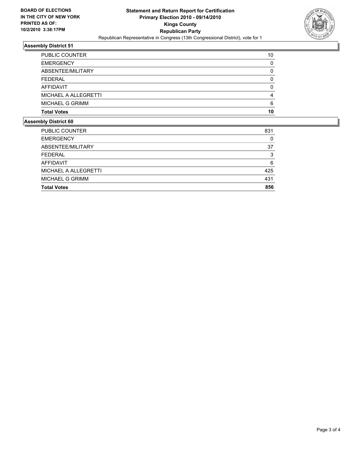

## **Assembly District 51**

| <b>Total Votes</b>    | 10 |
|-----------------------|----|
| MICHAEL G GRIMM       | 6  |
| MICHAEL A ALLEGRETTI  |    |
| AFFIDAVIT             | O  |
| <b>FEDERAL</b>        |    |
| ABSENTEE/MILITARY     | O  |
| <b>EMERGENCY</b>      | 0  |
| <b>PUBLIC COUNTER</b> | 10 |

#### **Assembly District 60**

| <b>PUBLIC COUNTER</b> | 831 |
|-----------------------|-----|
| <b>EMERGENCY</b>      | 0   |
| ABSENTEE/MILITARY     | 37  |
| <b>FEDERAL</b>        | 3   |
| AFFIDAVIT             | 6   |
| MICHAEL A ALLEGRETTI  | 425 |
| MICHAEL G GRIMM       | 431 |
| <b>Total Votes</b>    | 856 |